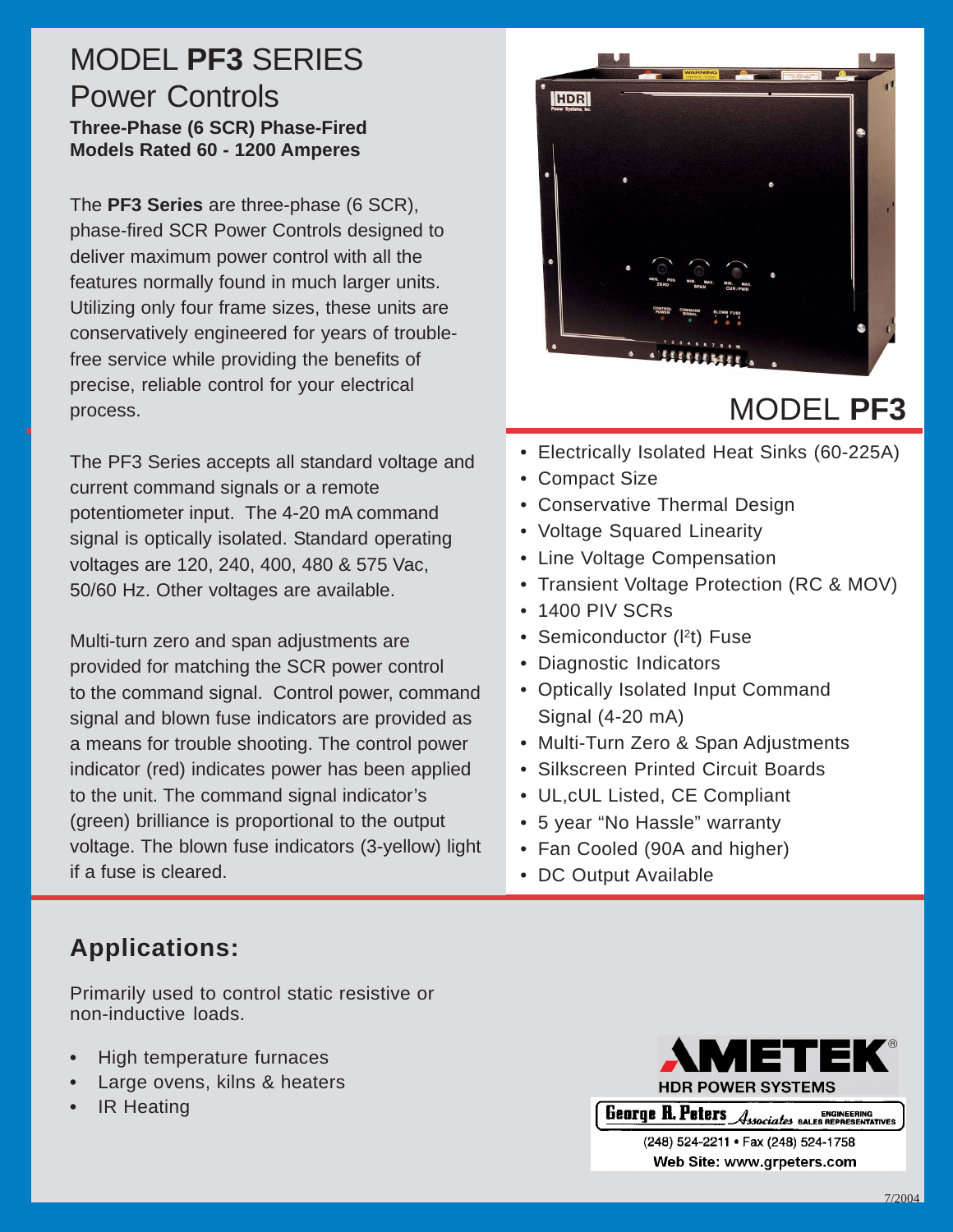#### MODEL **PF3** SERIES Power Controls **Three-Phase (6 SCR) Phase-Fired Models Rated 60 - 1200 Amperes**

The **PF3 Series** are three-phase (6 SCR), phase-fired SCR Power Controls designed to deliver maximum power control with all the features normally found in much larger units. Utilizing only four frame sizes, these units are conservatively engineered for years of troublefree service while providing the benefits of precise, reliable control for your electrical process.

The PF3 Series accepts all standard voltage and current command signals or a remote potentiometer input. The 4-20 mA command signal is optically isolated. Standard operating voltages are 120, 240, 400, 480 & 575 Vac, 50/60 Hz. Other voltages are available.

Multi-turn zero and span adjustments are provided for matching the SCR power control to the command signal. Control power, command signal and blown fuse indicators are provided as a means for trouble shooting. The control power indicator (red) indicates power has been applied to the unit. The command signal indicator's (green) brilliance is proportional to the output voltage. The blown fuse indicators (3-yellow) light if a fuse is cleared.

HDR

# MODEL **PF3**

- Electrically Isolated Heat Sinks (60-225A)
- Compact Size
- Conservative Thermal Design
- Voltage Squared Linearity
- Line Voltage Compensation
- Transient Voltage Protection (RC & MOV)
- 1400 PIV SCRs
- Semiconductor (I<sup>2</sup>t) Fuse
- Diagnostic Indicators
- Optically Isolated Input Command Signal (4-20 mA)
- Multi-Turn Zero & Span Adjustments
- Silkscreen Printed Circuit Boards
- UL,cUL Listed, CE Compliant
- 5 year "No Hassle" warranty
- Fan Cooled (90A and higher)
- DC Output Available

# **Applications:**

Primarily used to control static resistive or non-inductive loads.

- **•** High temperature furnaces
- **•** Large ovens, kilns & heaters
- **•** IR Heating



**1048** *Masociates* BALES REP

(248) 524-2211 · Fax (248) 524-1758 Web Site: www.grpeters.com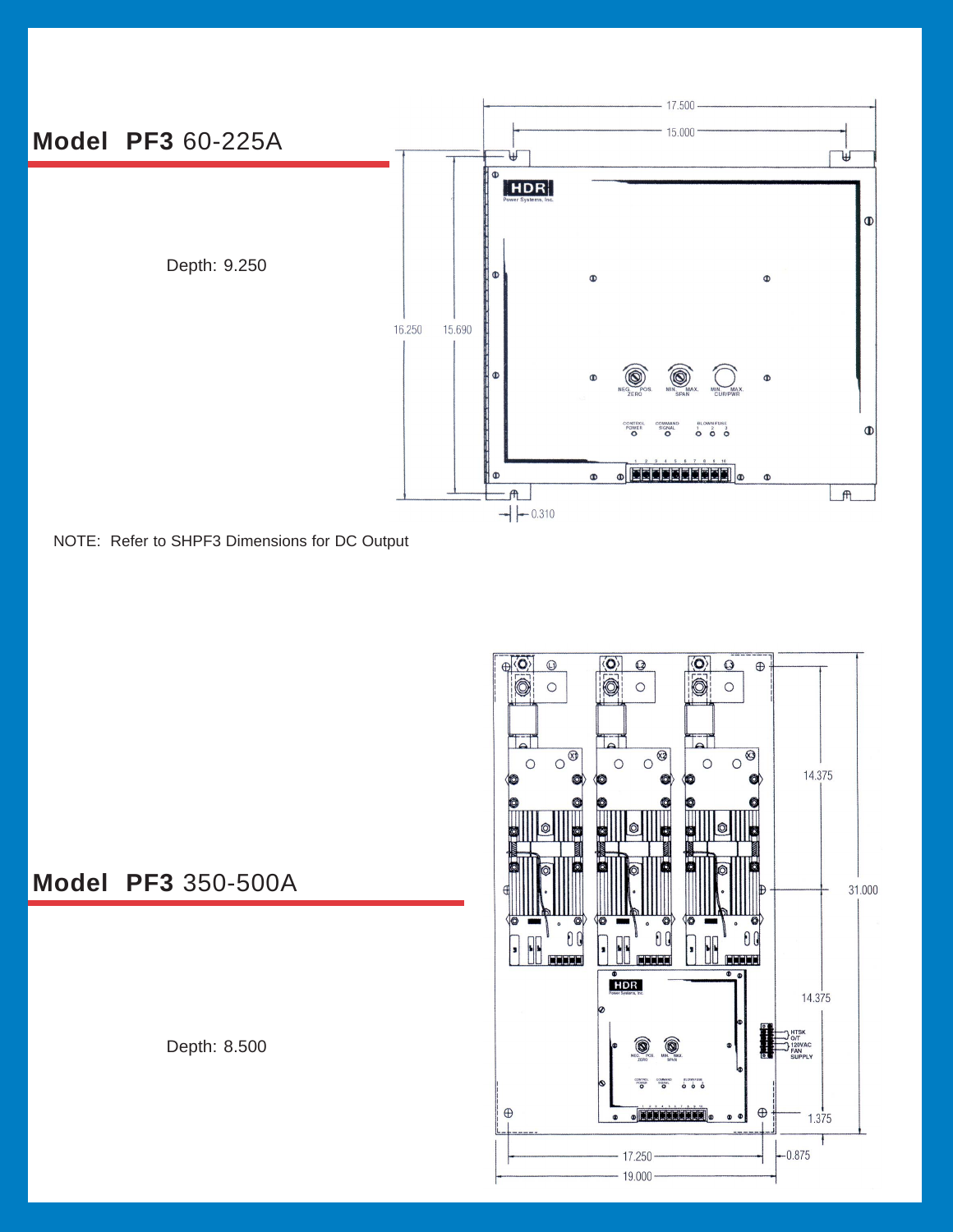

NOTE: Refer to SHPF3 Dimensions for DC Output



### **Model PF3** 350-500A

Depth: 8.500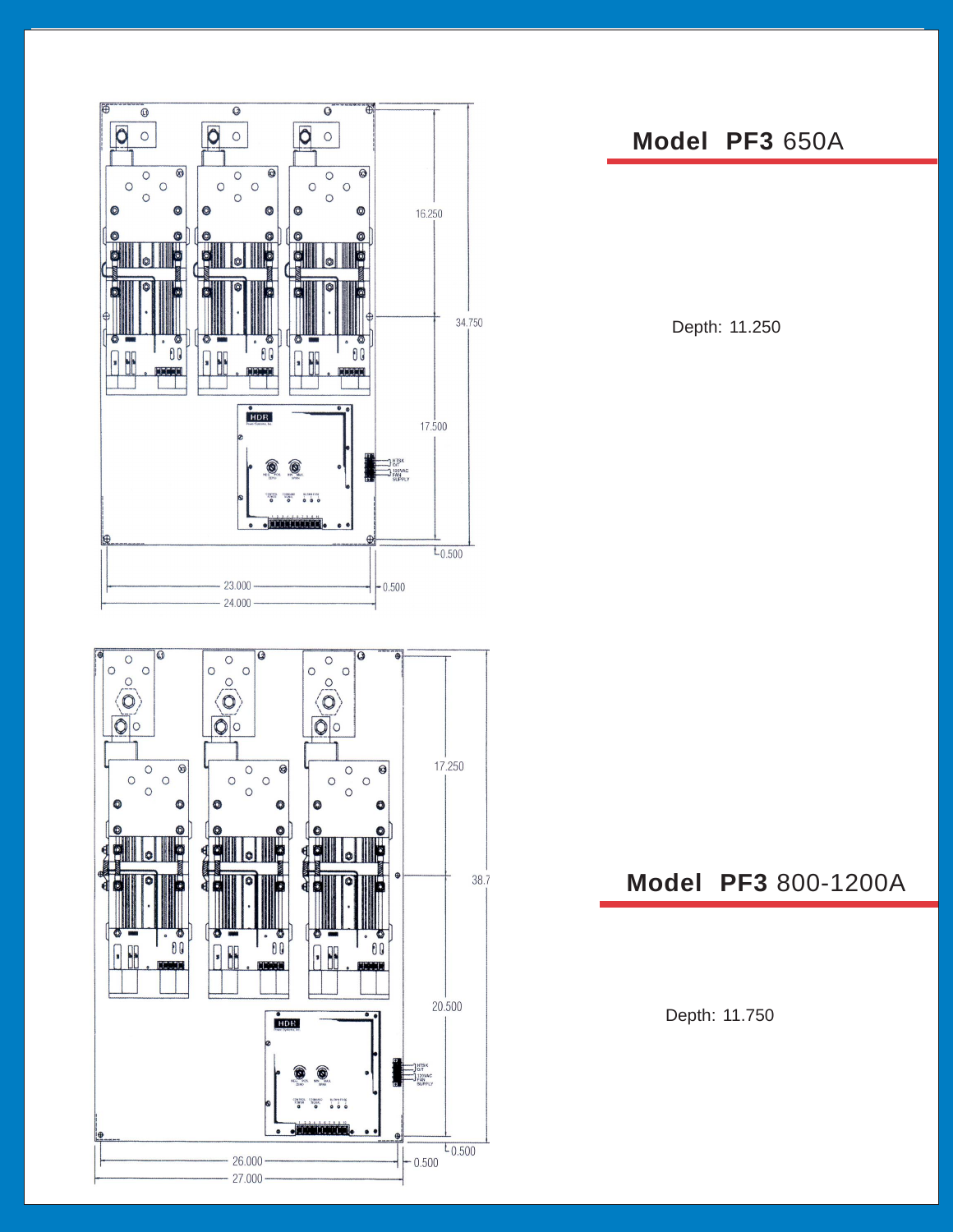

 $-26.000 -$ 

 $-27.000 -$ 

 $L_{0.500}$ 

 $-0.500$ 

#### **Model PF3** 650A

Depth: 11.250

### **Model PF3** 800-1200A

Depth: 11.750